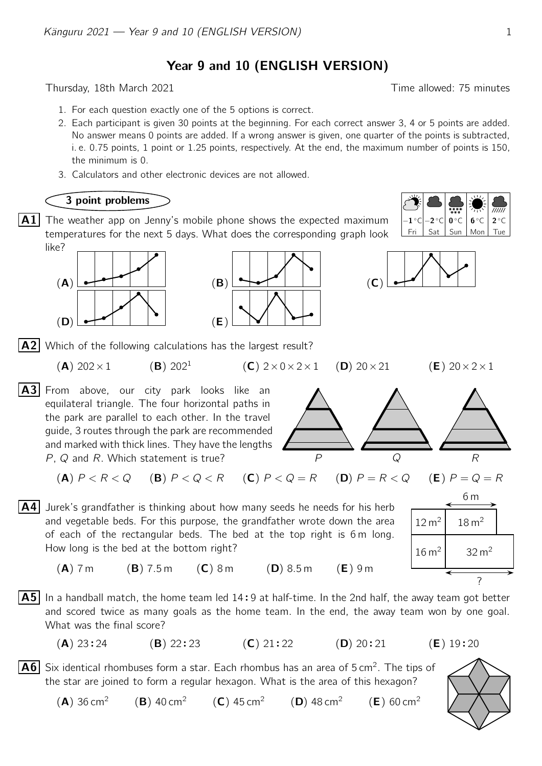Year 9 and 10 (ENGLISH VERSION)

Thursday, 18th March 2021 **Thursday**, 18th March 2021

- 1. For each question exactly one of the 5 options is correct.
- 2. Each participant is given 30 points at the beginning. For each correct answer 3, 4 or 5 points are added. No answer means 0 points are added. If a wrong answer is given, one quarter of the points is subtracted, i. e. 0.75 points, 1 point or 1.25 points, respectively. At the end, the maximum number of points is 150, the minimum is 0.
- 3. Calculators and other electronic devices are not allowed.

## 3 point problems

**A1** The weather app on Jenny's mobile phone shows the expected maximum  $\left[-1^{\circ}c\right]-2^{\circ}c\right]$   $\bullet\circ c$   $\left[\frac{1}{2^{\circ}c}\right]$ temperatures for the next 5 days. What does the corresponding graph look like?





Fri Sat Sun | Mon | Tue  $-1$  °C  $-2$  $\circ$ C 0 $\circ$ C 6  $6^{\circ}$ C 2°C b



 $\overline{A2}$  Which of the following calculations has the largest result?

(**A**)  $202 \times 1$  (**B**)  $202^1$ 

 $12 \text{ m}^2$  18 m<sup>2</sup>

6 m

 $16 \text{ m}^2$  32 m<sup>2</sup>

A3 From above, our city park looks like an equilateral triangle. The four horizontal paths in the park are parallel to each other. In the travel guide, 3 routes through the park are recommended and marked with thick lines. They have the lengths  $P$ ,  $Q$  and  $R$ . Which statement is true?

P Q R

(A)  $P < R < Q$  (B)  $P < Q < R$  (C)  $P < Q = R$  (D)  $P = R < Q$  (E)  $P = Q = R$ 



 $(A)$  7 m (B) 7.5 m (C) 8 m (D) 8.5 m (E) 9 m

 $\overline{AB}$  In a handball match, the home team led 14:9 at half-time. In the 2nd half, the away team got better<br>and scored twice as many goals as the home team. In the end, the away team won by one goal and scored twice as many goals as the home team. In the end, the away team won by one goal. What was the final score?

 $(A)$  23:24  $(B)$  22:23  $(C)$  21:22  $(D)$  20:21 :21  $(E)$  19:20

 $\overline{\mathsf{A6}}\,$  Six identical rhombuses form a star. Each rhombus has an area of 5 cm<sup>2</sup>. The tips of the star are joined to form a regular hexagon. What is the area of this hexagon?

 $(A)$  36 cm<sup>2</sup>  $(B)$  40 cm<sup>2</sup>  $(C)$  45 cm<sup>2</sup>  $(D)$  48 cm<sup>2</sup>  $(E)$  60 cm<sup>2</sup>



 $\overline{WW}$ 



?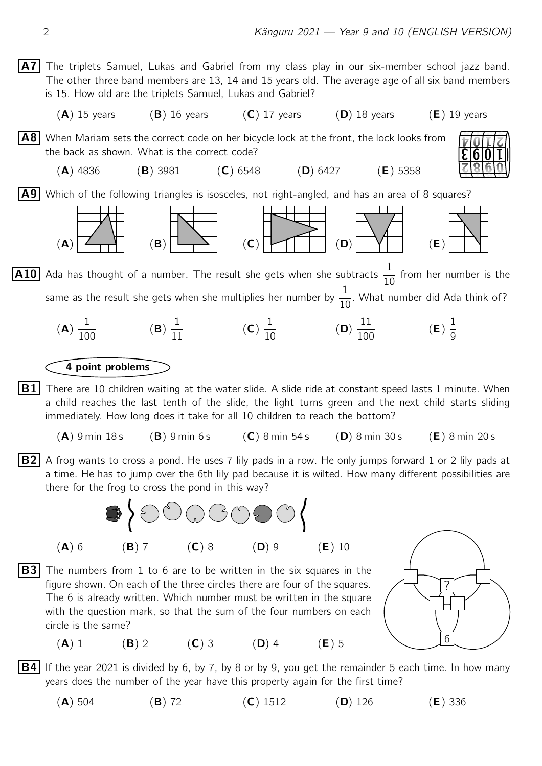A7 The triplets Samuel, Lukas and Gabriel from my class play in our six-member school jazz band. The other three band members are 13, 14 and 15 years old. The average age of all six band members is 15. How old are the triplets Samuel, Lukas and Gabriel?

 $(A)$  15 years (B) 16 years (C) 17 years (D) 18 years (E) 19 years

A8 When Mariam sets the correct code on her bicycle lock at the front, the lock looks from the back as shown. What is the correct code?

(A) 4836 (B) 3981 (C) 6548 (D) 6427 (E) 5358

A9 Which of the following triangles is isosceles, not right-angled, and has an area of 8 squares?



 $\overline{A10}$  Ada has thought of a number. The result she gets when she subtracts  $\frac{1}{16}$  $\frac{1}{10}$  from her number is the same as the result she gets when she multiplies her number by  $\frac{1}{16}$  $\frac{1}{10}$ . What number did Ada think of?

(A) 1  $\frac{1}{100}$  (B) 1  $\frac{1}{11}$  (C) 1  $\frac{1}{10}$  (D) 11  $\frac{11}{100}$  (**E**) 1 9

## 4 point problems

 $|B1|$  There are 10 children waiting at the water slide. A slide ride at constant speed lasts 1 minute. When a child reaches the last tenth of the slide, the light turns green and the next child starts sliding immediately. How long does it take for all 10 children to reach the bottom?

- $(A)$  9 min 18 s (B) 9 min 6 s (C) 8 min 54 s (D) 8 min 30 s (E) 8 min 20 s
- **B2** A frog wants to cross a pond. He uses 7 lily pads in a row. He only jumps forward 1 or 2 lily pads at a time. He has to jump over the 6th lily pad because it is wilted. How many different possibilities are there for the frog to cross the pond in this way?



**B3** The numbers from 1 to 6 are to be written in the six squares in the figure shown. On each of the three circles there are four of the squares. The 6 is already written. Which number must be written in the square with the question mark, so that the sum of the four numbers on each circle is the same?

(A) 1 (B) 2 (C) 3 (D) 4 (E) 5



1

- 7

3 9

 $\overline{\phantom{a}}$ 

7

8

9

T III

3

0|1

 $\mathbf{I}$ 

- **B4** If the year 2021 is divided by 6, by 7, by 8 or by 9, you get the remainder 5 each time. In how many years does the number of the year have this property again for the first time?
	- (A) 504 (B) 72 (C) 1512 (D) 126 (E) 336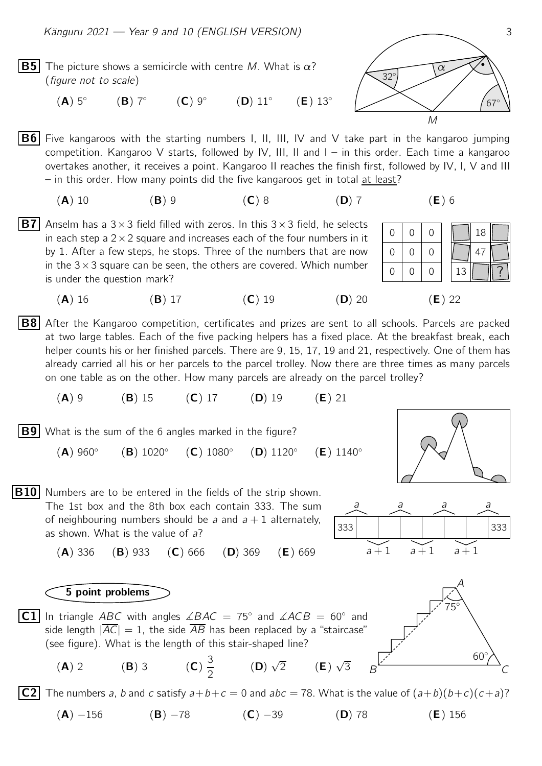- **B5** The picture shows a semicircle with centre M. What is  $\alpha$ ? (figure not to scale)
	- $(A)$  5°  $(B)$  7°  $(C)$  9°  $(D)$  11 $^{\circ}$  $(E)$  13 $^{\circ}$

**B6** Five kangaroos with the starting numbers I, II, III, IV and V take part in the kangaroo jumping competition. Kangaroo V starts, followed by IV, III, II and I – in this order. Each time a kangaroo overtakes another, it receives a point. Kangaroo II reaches the finish first, followed by IV, I, V and III – in this order. How many points did the five kangaroos get in total at least?

- (A) 10 (B) 9 (C) 8 (D) 7 (E) 6
- **B7** Anselm has a 3  $\times$  3 field filled with zeros. In this 3  $\times$  3 field, he selects in each step a  $2 \times 2$  square and increases each of the four numbers in it by 1. After a few steps, he stops. Three of the numbers that are now in the  $3 \times 3$  square can be seen, the others are covered. Which number is under the question mark?
- **B8** After the Kangaroo competition, certificates and prizes are sent to all schools. Parcels are packed at two large tables. Each of the five packing helpers has a fixed place. At the breakfast break, each helper counts his or her finished parcels. There are 9, 15, 17, 19 and 21, respectively. One of them has already carried all his or her parcels to the parcel trolley. Now there are three times as many parcels

on one table as on the other. How many parcels are already on the parcel trolley?

(A) 9 (B) 15 (C) 17 (D) 19 (E) 21

**B9** What is the sum of the 6 angles marked in the figure?

 $(A)$  960 $^{\circ}$ (B) 1020◦  $(C) 1080°$ (D) 1120◦  $(E)$  1140 $^{\circ}$ 



## **C2** The numbers a, b and c satisfy  $a+b+c=0$  and  $abc=78$ . What is the value of  $(a+b)(b+c)(c+a)$ ?

(A) −156 (B) −78 (C) −39 (D) 78 (E) 156





M



$$
\left\lfloor \frac{1}{2} \right\rfloor
$$

 $\big(\wedge\big)$ 



67◦